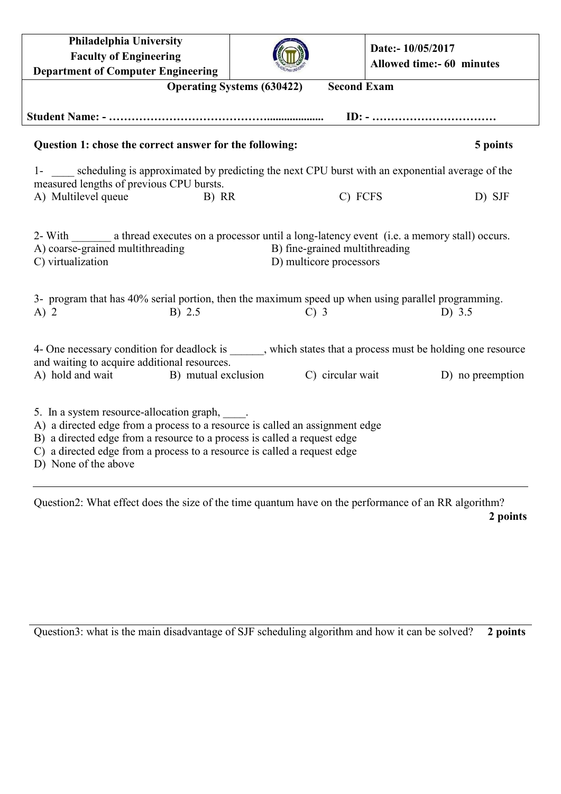| Philadelphia University<br><b>Faculty of Engineering</b><br><b>Department of Computer Engineering</b>                                                                                                                                                                                                            |                                                                     | Date:- 10/05/2017<br>Allowed time:- 60 minutes |  |  |
|------------------------------------------------------------------------------------------------------------------------------------------------------------------------------------------------------------------------------------------------------------------------------------------------------------------|---------------------------------------------------------------------|------------------------------------------------|--|--|
| <b>Second Exam</b><br><b>Operating Systems (630422)</b>                                                                                                                                                                                                                                                          |                                                                     |                                                |  |  |
|                                                                                                                                                                                                                                                                                                                  |                                                                     |                                                |  |  |
| Question 1: chose the correct answer for the following:                                                                                                                                                                                                                                                          |                                                                     | 5 points                                       |  |  |
| 1- scheduling is approximated by predicting the next CPU burst with an exponential average of the<br>measured lengths of previous CPU bursts.                                                                                                                                                                    |                                                                     |                                                |  |  |
| A) Multilevel queue<br>B) RR                                                                                                                                                                                                                                                                                     |                                                                     | C) FCFS<br>D) SJF                              |  |  |
| 2- With a thread executes on a processor until a long-latency event (i.e. a memory stall) occurs.<br>A) coarse-grained multithreading<br>C) virtualization<br>3- program that has 40% serial portion, then the maximum speed up when using parallel programming.<br>B) 2.5<br>$A)$ 2                             | B) fine-grained multithreading<br>D) multicore processors<br>$C)$ 3 | D) $3.5$                                       |  |  |
| 4- One necessary condition for deadlock is ______, which states that a process must be holding one resource<br>and waiting to acquire additional resources.<br>C) circular wait<br>A) hold and wait B) mutual exclusion<br>D) no preemption                                                                      |                                                                     |                                                |  |  |
| 5. In a system resource-allocation graph, _____.<br>A) a directed edge from a process to a resource is called an assignment edge<br>B) a directed edge from a resource to a process is called a request edge<br>C) a directed edge from a process to a resource is called a request edge<br>D) None of the above |                                                                     |                                                |  |  |

Question2: What effect does the size of the time quantum have on the performance of an RR algorithm? **2 points**

Question3: what is the main disadvantage of SJF scheduling algorithm and how it can be solved? **2 points**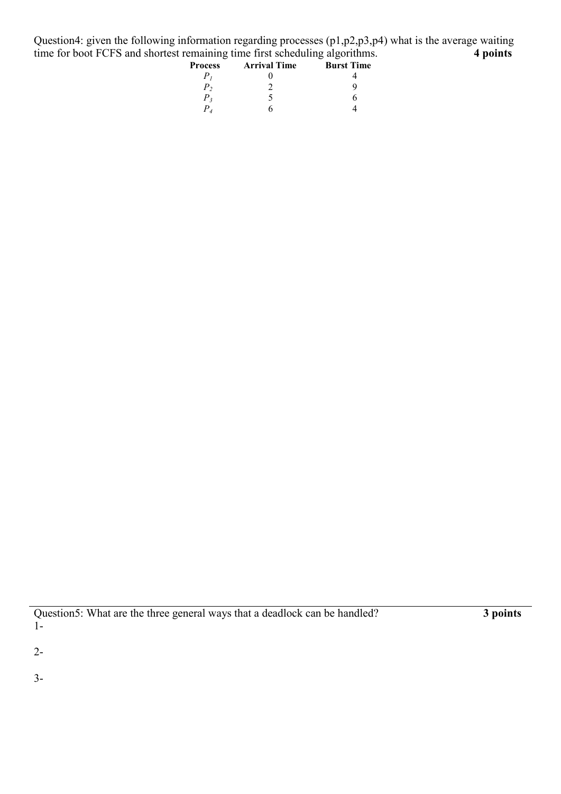Question4: given the following information regarding processes (p1,p2,p3,p4) what is the average waiting time for boot FCFS and shortest remaining time first scheduling algorithms. 4 points time for boot FCFS and shortest remaining time first scheduling algorithms.

| <b>Process</b> | <b>Arrival Time</b> | <b>Burst Time</b> |
|----------------|---------------------|-------------------|
|                |                     |                   |
| р,             |                     |                   |
| $P_{3}$        |                     |                   |
|                |                     |                   |

2-

3-

Question5: What are the three general ways that a deadlock can be handled? **3 points** 1-